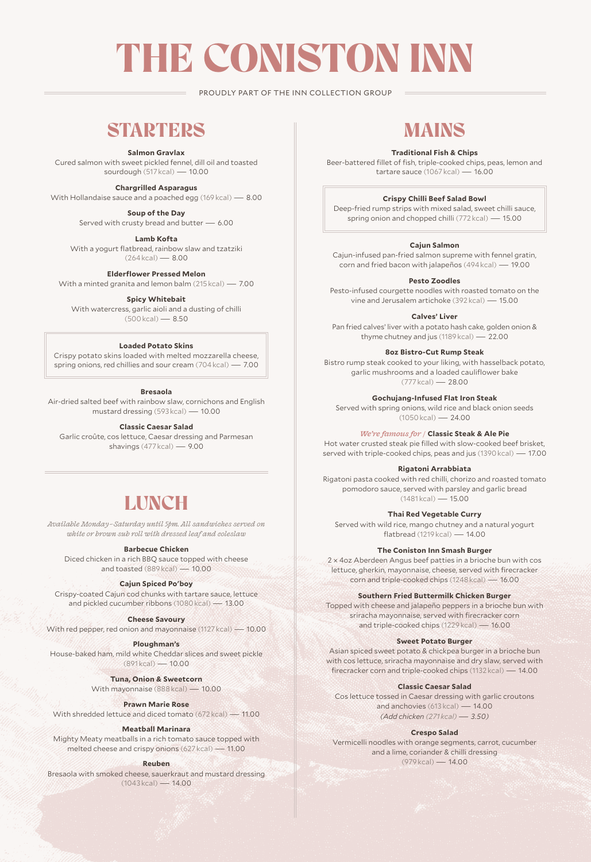# THE CONISTON INN

PROUDLY PART OF THE INN COLLECTION GROUP

### **STARTERS**

**Salmon Gravlax**

Cured salmon with sweet pickled fennel, dill oil and toasted sourdough (517 kcal) — 10.00

**Chargrilled Asparagus** 

With Hollandaise sauce and a poached egg (169 kcal) — 8.00

**Soup of the Day** Served with crusty bread and butter — 6.00

**Lamb Kofta** With a yogurt flatbread, rainbow slaw and tzatziki  $(264 \text{ kcal}) - 8.00$ 

**Elderflower Pressed Melon**

With a minted granita and lemon balm (215 kcal) — 7.00

**Spicy Whitebait** With watercress, garlic aioli and a dusting of chilli (500 kcal) — 8.50

#### **Loaded Potato Skins**

Crispy potato skins loaded with melted mozzarella cheese, spring onions, red chillies and sour cream (704 kcal) — 7.00

#### **Bresaola**

Air-dried salted beef with rainbow slaw, cornichons and English mustard dressing (593 kcal) — 10.00

**Classic Caesar Salad** 

Garlic croûte, cos lettuce, Caesar dressing and Parmesan shavings (477 kcal) — 9.00

## **LUNCH**

*Available Monday –Saturday until 5pm. All sandwiches served on white or brown sub roll with dressed leaf and coleslaw*

**Barbecue Chicken**

Diced chicken in a rich BBQ sauce topped with cheese and toasted (889 kcal) — 10.00

#### **Cajun Spiced Po'boy**

Crispy-coated Cajun cod chunks with tartare sauce, lettuce and pickled cucumber ribbons (1080 kcal) — 13.00

**Cheese Savoury**

With red pepper, red onion and mayonnaise (1127 kcal) — 10.00

#### **Ploughman's**

House-baked ham, mild white Cheddar slices and sweet pickle (891 kcal) — 10.00

**Tuna, Onion & Sweetcorn**

With mayonnaise (888 kcal) — 10.00

**Prawn Marie Rose**

With shredded lettuce and diced tomato (672 kcal) — 11.00

#### **Meatball Marinara**

Mighty Meaty meatballs in a rich tomato sauce topped with melted cheese and crispy onions (627 kcal) — 11.00

#### **Reuben**

Bresaola with smoked cheese, sauerkraut and mustard dressing  $(1043 \text{ kcal}) - 14.00$ 

## MAINS

#### **Traditional Fish & Chips**

Beer-battered fillet of fish, triple-cooked chips, peas, lemon and tartare sauce (1067 kcal) — 16.00

#### **Crispy Chilli Beef Salad Bowl**

Deep-fried rump strips with mixed salad, sweet chilli sauce, spring onion and chopped chilli (772 kcal) — 15.00

#### **Cajun Salmon**

Cajun-infused pan-fried salmon supreme with fennel gratin, corn and fried bacon with jalapeños (494 kcal) — 19.00

#### **Pesto Zoodles**

Pesto-infused courgette noodles with roasted tomato on the vine and Jerusalem artichoke (392 kcal) — 15.00

**Calves' Liver**

Pan fried calves' liver with a potato hash cake, golden onion & thyme chutney and jus (1189 kcal) — 22.00

#### **8oz Bistro-Cut Rump Steak**

Bistro rump steak cooked to your liking, with hasselback potato, garlic mushrooms and a loaded cauliflower bake (777 kcal) — 28.00

**Gochujang-Infused Flat Iron Steak**

Served with spring onions, wild rice and black onion seeds  $(1050 \text{ kcal}) - 24.00$ 

*We're famous for /* **Classic Steak & Ale Pie** 

Hot water crusted steak pie filled with slow-cooked beef brisket, served with triple-cooked chips, peas and jus (1390 kcal) — 17.00

**Rigatoni Arrabbiata**

Rigatoni pasta cooked with red chilli, chorizo and roasted tomato pomodoro sauce, served with parsley and garlic bread (1481 kcal) — 15.00

**Thai Red Vegetable Curry**

Served with wild rice, mango chutney and a natural yogurt flatbread (1219 kcal) — 14.00

#### **The Coniston Inn Smash Burger**

2 × 4oz Aberdeen Angus beef patties in a brioche bun with cos lettuce, gherkin, mayonnaise, cheese, served with firecracker corn and triple-cooked chips (1248 kcal) — 16.00

**Southern Fried Buttermilk Chicken Burger**

Topped with cheese and jalapeño peppers in a brioche bun with sriracha mayonnaise, served with firecracker corn and triple-cooked chips (1229 kcal) — 16.00

#### **Sweet Potato Burger**

Asian spiced sweet potato & chickpea burger in a brioche bun with cos lettuce, sriracha mayonnaise and dry slaw, served with firecracker corn and triple-cooked chips (1132 kcal) — 14.00

#### **Classic Caesar Salad**

Cos lettuce tossed in Caesar dressing with garlic croutons and anchovies (613 kcal) — 14.00 *(Add chicken (271 kcal)— 3.50)*

#### **Crespo Salad**

Vermicelli noodles with orange segments, carrot, cucumber and a lime, coriander & chilli dressing (979 kcal) — 14.00